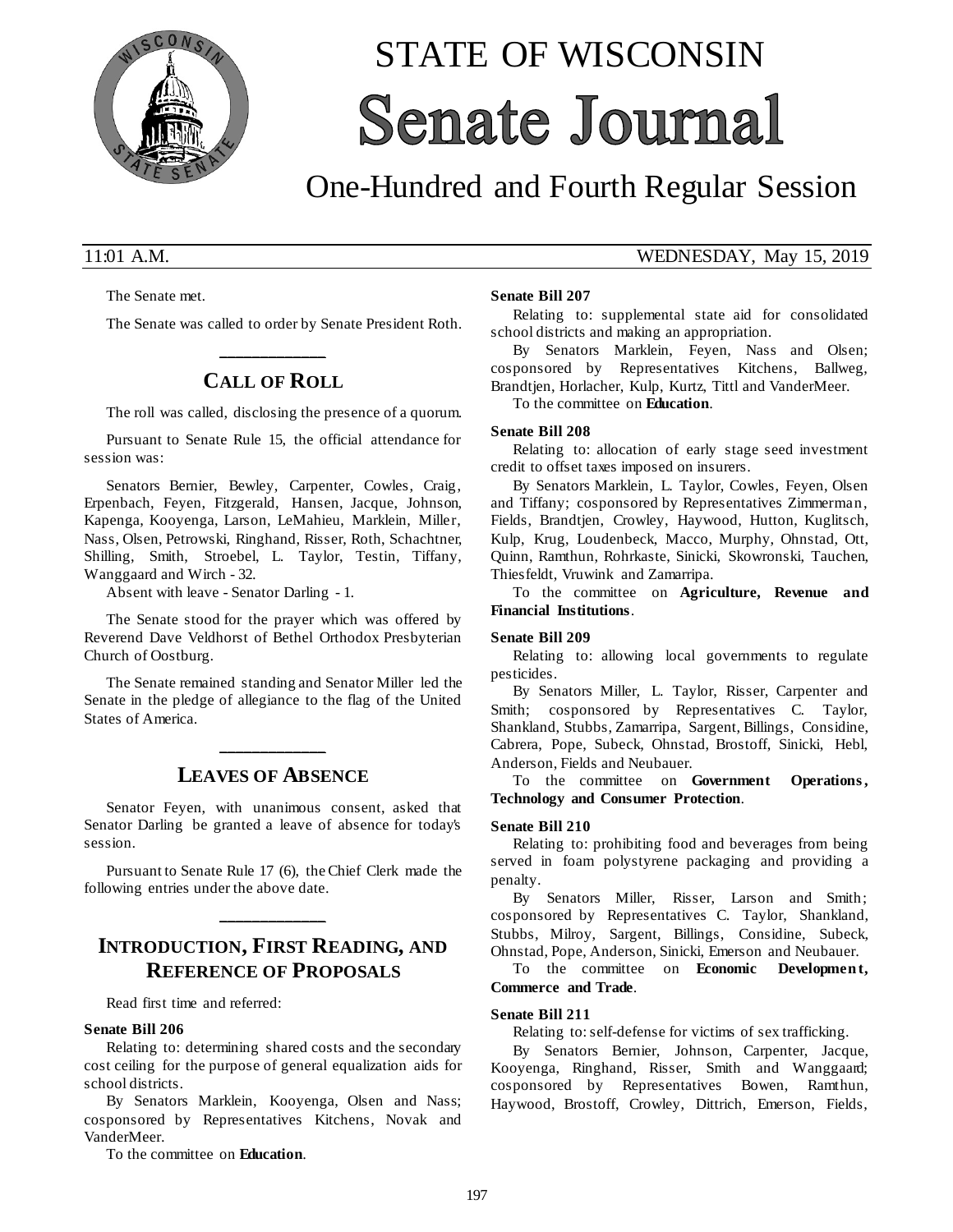

# STATE OF WISCONSIN **Senate Journal**

## One-Hundred and Fourth Regular Session

The Senate met.

The Senate was called to order by Senate President Roth.

## **\_\_\_\_\_\_\_\_\_\_\_\_\_ CALL OF ROLL**

The roll was called, disclosing the presence of a quorum.

Pursuant to Senate Rule 15, the official attendance for session was:

Senators Bernier, Bewley, Carpenter, Cowles, Craig, Erpenbach, Feyen, Fitzgerald, Hansen, Jacque, Johnson, Kapenga, Kooyenga, Larson, LeMahieu, Marklein, Miller, Nass, Olsen, Petrowski, Ringhand, Risser, Roth, Schachtner, Shilling, Smith, Stroebel, L. Taylor, Testin, Tiffany, Wanggaard and Wirch - 32.

Absent with leave - Senator Darling - 1.

The Senate stood for the prayer which was offered by Reverend Dave Veldhorst of Bethel Orthodox Presbyterian Church of Oostburg.

The Senate remained standing and Senator Miller led the Senate in the pledge of allegiance to the flag of the United States of America.

### **LEAVES OF ABSENCE**

**\_\_\_\_\_\_\_\_\_\_\_\_\_**

Senator Feyen, with unanimous consent, asked that Senator Darling be granted a leave of absence for today's session.

Pursuant to Senate Rule 17 (6), the Chief Clerk made the following entries under the above date.

**\_\_\_\_\_\_\_\_\_\_\_\_\_**

## **INTRODUCTION, FIRST READING, AND REFERENCE OF PROPOSALS**

Read first time and referred:

#### **Senate Bill 206**

Relating to: determining shared costs and the secondary cost ceiling for the purpose of general equalization aids for school districts.

By Senators Marklein, Kooyenga, Olsen and Nass; cosponsored by Representatives Kitchens, Novak and VanderMeer.

To the committee on **Education**.

## 11:01 A.M. WEDNESDAY, May 15, 2019

#### **Senate Bill 207**

Relating to: supplemental state aid for consolidated school districts and making an appropriation.

By Senators Marklein, Feyen, Nass and Olsen; cosponsored by Representatives Kitchens, Ballweg, Brandtjen, Horlacher, Kulp, Kurtz, Tittl and VanderMeer.

To the committee on **Education**.

#### **Senate Bill 208**

Relating to: allocation of early stage seed investment credit to offset taxes imposed on insurers.

By Senators Marklein, L. Taylor, Cowles, Feyen, Olsen and Tiffany; cosponsored by Representatives Zimmerman, Fields, Brandtjen, Crowley, Haywood, Hutton, Kuglitsch, Kulp, Krug, Loudenbeck, Macco, Murphy, Ohnstad, Ott, Quinn, Ramthun, Rohrkaste, Sinicki, Skowronski, Tauchen, Thiesfeldt, Vruwink and Zamarripa.

To the committee on **Agriculture, Revenue and Financial Institutions**.

#### **Senate Bill 209**

Relating to: allowing local governments to regulate pesticides.

By Senators Miller, L. Taylor, Risser, Carpenter and Smith; cosponsored by Representatives C. Taylor, Shankland, Stubbs, Zamarripa, Sargent, Billings, Considine, Cabrera, Pope, Subeck, Ohnstad, Brostoff, Sinicki, Hebl, Anderson, Fields and Neubauer.

To the committee on **Government Operations , Technology and Consumer Protection**.

#### **Senate Bill 210**

Relating to: prohibiting food and beverages from being served in foam polystyrene packaging and providing a penalty.

By Senators Miller, Risser, Larson and Smith; cosponsored by Representatives C. Taylor, Shankland, Stubbs, Milroy, Sargent, Billings, Considine, Subeck, Ohnstad, Pope, Anderson, Sinicki, Emerson and Neubauer.

To the committee on **Economic** Development, **Commerce and Trade**.

#### **Senate Bill 211**

Relating to: self-defense for victims of sex trafficking.

By Senators Bernier, Johnson, Carpenter, Jacque, Kooyenga, Ringhand, Risser, Smith and Wanggaard; cosponsored by Representatives Bowen, Ramthun, Haywood, Brostoff, Crowley, Dittrich, Emerson, Fields,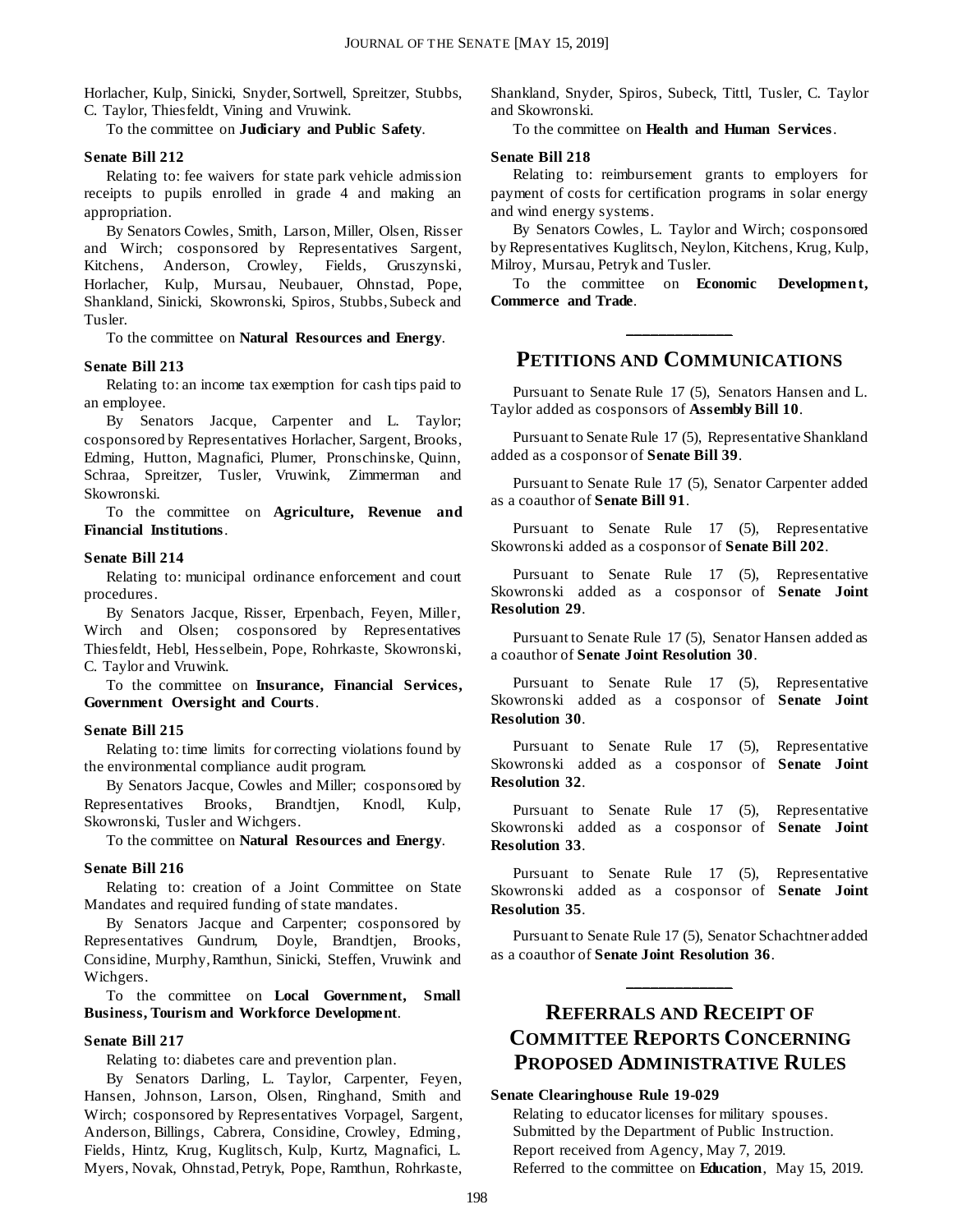Horlacher, Kulp, Sinicki, Snyder, Sortwell, Spreitzer, Stubbs, C. Taylor, Thiesfeldt, Vining and Vruwink.

To the committee on **Judiciary and Public Safety**.

#### **Senate Bill 212**

Relating to: fee waivers for state park vehicle admission receipts to pupils enrolled in grade 4 and making an appropriation.

By Senators Cowles, Smith, Larson, Miller, Olsen, Risser and Wirch; cosponsored by Representatives Sargent, Kitchens, Anderson, Crowley, Fields, Gruszynski, Horlacher, Kulp, Mursau, Neubauer, Ohnstad, Pope, Shankland, Sinicki, Skowronski, Spiros, Stubbs, Subeck and Tusler.

To the committee on **Natural Resources and Energy**.

#### **Senate Bill 213**

Relating to: an income tax exemption for cash tips paid to an employee.

By Senators Jacque, Carpenter and L. Taylor; cosponsored by Representatives Horlacher, Sargent, Brooks, Edming, Hutton, Magnafici, Plumer, Pronschinske, Quinn, Schraa, Spreitzer, Tusler, Vruwink, Zimmerman and Skowronski.

To the committee on **Agriculture, Revenue and Financial Institutions**.

#### **Senate Bill 214**

Relating to: municipal ordinance enforcement and court procedures.

By Senators Jacque, Risser, Erpenbach, Feyen, Miller, Wirch and Olsen; cosponsored by Representatives Thiesfeldt, Hebl, Hesselbein, Pope, Rohrkaste, Skowronski, C. Taylor and Vruwink.

To the committee on **Insurance, Financial Services, Government Oversight and Courts**.

#### **Senate Bill 215**

Relating to: time limits for correcting violations found by the environmental compliance audit program.

By Senators Jacque, Cowles and Miller; cosponsored by Representatives Brooks, Brandtjen, Knodl, Kulp, Skowronski, Tusler and Wichgers.

To the committee on **Natural Resources and Energy**.

#### **Senate Bill 216**

Relating to: creation of a Joint Committee on State Mandates and required funding of state mandates.

By Senators Jacque and Carpenter; cosponsored by Representatives Gundrum, Doyle, Brandtjen, Brooks, Considine, Murphy, Ramthun, Sinicki, Steffen, Vruwink and Wichgers.

To the committee on **Local Government, Small Business, Tourism and Workforce Development**.

#### **Senate Bill 217**

Relating to: diabetes care and prevention plan.

By Senators Darling, L. Taylor, Carpenter, Feyen, Hansen, Johnson, Larson, Olsen, Ringhand, Smith and Wirch; cosponsored by Representatives Vorpagel, Sargent, Anderson, Billings, Cabrera, Considine, Crowley, Edming, Fields, Hintz, Krug, Kuglitsch, Kulp, Kurtz, Magnafici, L. Myers, Novak, Ohnstad, Petryk, Pope, Ramthun, Rohrkaste,

Shankland, Snyder, Spiros, Subeck, Tittl, Tusler, C. Taylor and Skowronski.

To the committee on **Health and Human Services**.

#### **Senate Bill 218**

Relating to: reimbursement grants to employers for payment of costs for certification programs in solar energy and wind energy systems.

By Senators Cowles, L. Taylor and Wirch; cosponsored by Representatives Kuglitsch, Neylon, Kitchens, Krug, Kulp, Milroy, Mursau, Petryk and Tusler.

To the committee on **Economic** Development, **Commerce and Trade**.

### **PETITIONS AND COMMUNICATIONS**

**\_\_\_\_\_\_\_\_\_\_\_\_\_**

Pursuant to Senate Rule 17 (5), Senators Hansen and L. Taylor added as cosponsors of **Assembly Bill 10**.

Pursuant to Senate Rule 17 (5), Representative Shankland added as a cosponsor of **Senate Bill 39**.

Pursuant to Senate Rule 17 (5), Senator Carpenter added as a coauthor of **Senate Bill 91**.

Pursuant to Senate Rule 17 (5), Representative Skowronski added as a cosponsor of **Senate Bill 202**.

Pursuant to Senate Rule 17 (5), Representative Skowronski added as a cosponsor of **Senate Joint Resolution 29**.

Pursuant to Senate Rule 17 (5), Senator Hansen added as a coauthor of **Senate Joint Resolution 30**.

Pursuant to Senate Rule 17 (5), Representative Skowronski added as a cosponsor of **Senate Joint Resolution 30**.

Pursuant to Senate Rule 17 (5), Representative Skowronski added as a cosponsor of **Senate Joint Resolution 32**.

Pursuant to Senate Rule 17 (5), Representative Skowronski added as a cosponsor of **Senate Joint Resolution 33**.

Pursuant to Senate Rule 17 (5), Representative Skowronski added as a cosponsor of **Senate Joint Resolution 35**.

Pursuant to Senate Rule 17 (5), Senator Schachtner added as a coauthor of **Senate Joint Resolution 36**.

**\_\_\_\_\_\_\_\_\_\_\_\_\_**

## **REFERRALS AND RECEIPT OF COMMITTEE REPORTS CONCERNING PROPOSED ADMINISTRATIVE RULES**

#### **Senate Clearinghouse Rule 19-029**

Relating to educator licenses for military spouses. Submitted by the Department of Public Instruction. Report received from Agency, May 7, 2019. Referred to the committee on **Education**, May 15, 2019.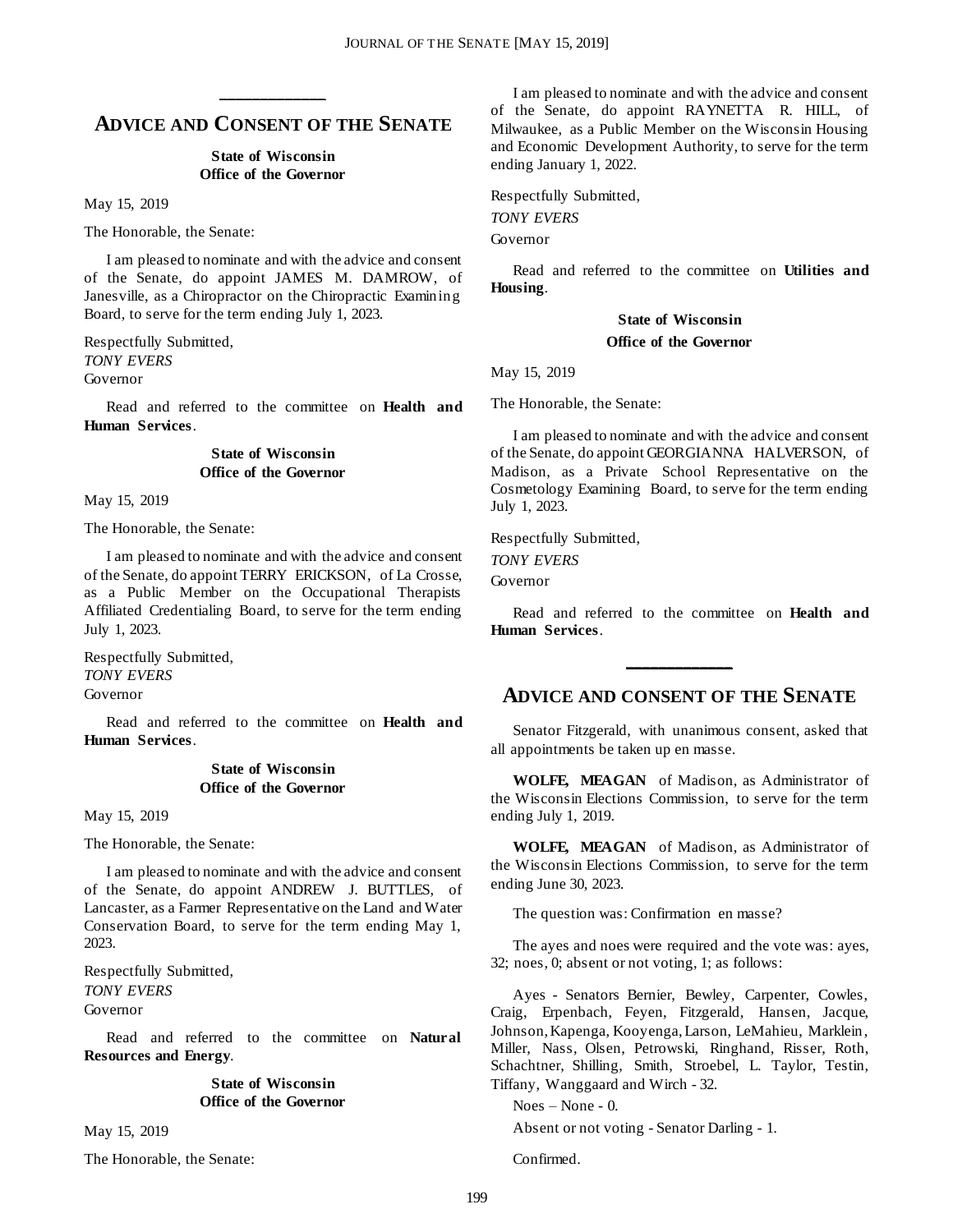## **ADVICE AND CONSENT OF THE SENATE**

**\_\_\_\_\_\_\_\_\_\_\_\_\_**

#### **State of Wisconsin Office of the Governor**

May 15, 2019

The Honorable, the Senate:

I am pleased to nominate and with the advice and consent of the Senate, do appoint JAMES M. DAMROW, of Janesville, as a Chiropractor on the Chiropractic Examining Board, to serve for the term ending July 1, 2023.

Respectfully Submitted, *TONY EVERS* Governor

Read and referred to the committee on **Health and Human Services**.

#### **State of Wisconsin Office of the Governor**

May 15, 2019

The Honorable, the Senate:

I am pleased to nominate and with the advice and consent of the Senate, do appoint TERRY ERICKSON, of La Crosse, as a Public Member on the Occupational Therapists Affiliated Credentialing Board, to serve for the term ending July 1, 2023.

Respectfully Submitted, *TONY EVERS* Governor

Read and referred to the committee on **Health and Human Services**.

#### **State of Wisconsin Office of the Governor**

May 15, 2019

The Honorable, the Senate:

I am pleased to nominate and with the advice and consent of the Senate, do appoint ANDREW J. BUTTLES, of Lancaster, as a Farmer Representative on the Land and Water Conservation Board, to serve for the term ending May 1, 2023.

Respectfully Submitted, *TONY EVERS* Governor

Read and referred to the committee on **Natural Resources and Energy**.

#### **State of Wisconsin Office of the Governor**

May 15, 2019

The Honorable, the Senate:

I am pleased to nominate and with the advice and consent of the Senate, do appoint RAYNETTA R. HILL, of Milwaukee, as a Public Member on the Wisconsin Housing and Economic Development Authority, to serve for the term ending January 1, 2022.

Respectfully Submitted, *TONY EVERS*

Governor

Read and referred to the committee on **Utilities and Housing**.

### **State of Wisconsin Office of the Governor**

May 15, 2019

The Honorable, the Senate:

I am pleased to nominate and with the advice and consent of the Senate, do appoint GEORGIANNA HALVERSON, of Madison, as a Private School Representative on the Cosmetology Examining Board, to serve for the term ending July 1, 2023.

Respectfully Submitted,

*TONY EVERS*

Governor

Read and referred to the committee on **Health and Human Services**.

**\_\_\_\_\_\_\_\_\_\_\_\_\_**

## **ADVICE AND CONSENT OF THE SENATE**

Senator Fitzgerald, with unanimous consent, asked that all appointments be taken up en masse.

**WOLFE, MEAGAN** of Madison, as Administrator of the Wisconsin Elections Commission, to serve for the term ending July 1, 2019.

**WOLFE, MEAGAN** of Madison, as Administrator of the Wisconsin Elections Commission, to serve for the term ending June 30, 2023.

The question was: Confirmation en masse?

The ayes and noes were required and the vote was: ayes, 32; noes, 0; absent or not voting, 1; as follows:

Ayes - Senators Bernier, Bewley, Carpenter, Cowles, Craig, Erpenbach, Feyen, Fitzgerald, Hansen, Jacque, Johnson, Kapenga, Kooyenga, Larson, LeMahieu, Marklein, Miller, Nass, Olsen, Petrowski, Ringhand, Risser, Roth, Schachtner, Shilling, Smith, Stroebel, L. Taylor, Testin, Tiffany, Wanggaard and Wirch - 32.

Noes – None - 0.

Absent or not voting - Senator Darling - 1.

Confirmed.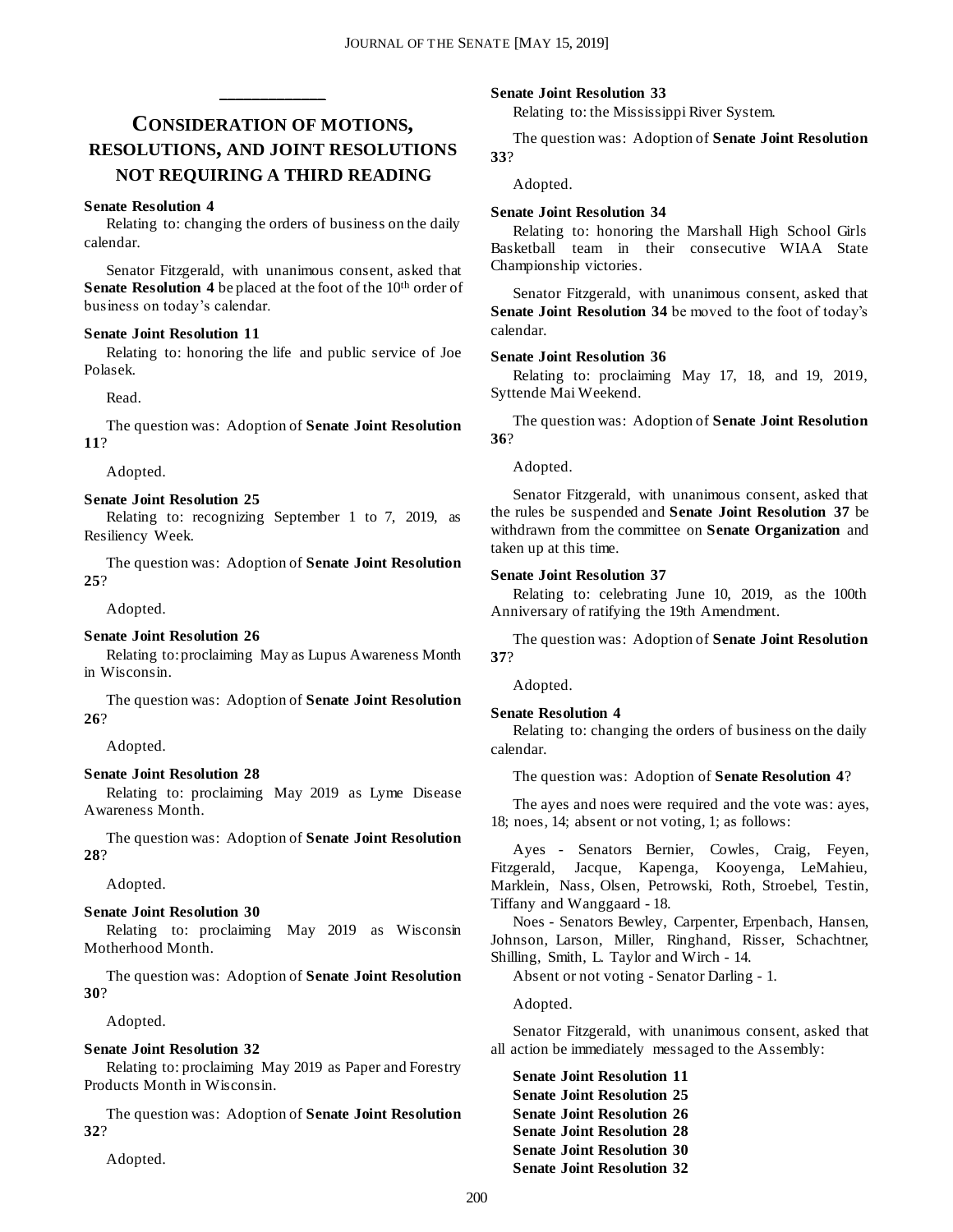## **CONSIDERATION OF MOTIONS, RESOLUTIONS, AND JOINT RESOLUTIONS NOT REQUIRING A THIRD READING**

**\_\_\_\_\_\_\_\_\_\_\_\_\_**

#### **Senate Resolution 4**

Relating to: changing the orders of business on the daily calendar.

Senator Fitzgerald, with unanimous consent, asked that **Senate Resolution 4** be placed at the foot of the 10<sup>th</sup> order of business on today's calendar.

#### **Senate Joint Resolution 11**

Relating to: honoring the life and public service of Joe Polasek.

Read.

The question was: Adoption of **Senate Joint Resolution 11**?

Adopted.

#### **Senate Joint Resolution 25**

Relating to: recognizing September 1 to 7, 2019, as Resiliency Week.

The question was: Adoption of **Senate Joint Resolution 25**?

Adopted.

#### **Senate Joint Resolution 26**

Relating to: proclaiming May as Lupus Awareness Month in Wisconsin.

The question was: Adoption of **Senate Joint Resolution 26**?

Adopted.

#### **Senate Joint Resolution 28**

Relating to: proclaiming May 2019 as Lyme Disease Awareness Month.

The question was: Adoption of **Senate Joint Resolution 28**?

Adopted.

#### **Senate Joint Resolution 30**

Relating to: proclaiming May 2019 as Wisconsin Motherhood Month.

The question was: Adoption of **Senate Joint Resolution 30**?

Adopted.

#### **Senate Joint Resolution 32**

Relating to: proclaiming May 2019 as Paper and Forestry Products Month in Wisconsin.

The question was: Adoption of **Senate Joint Resolution 32**?

Adopted.

**Senate Joint Resolution 33**

Relating to: the Mississippi River System.

The question was: Adoption of **Senate Joint Resolution 33**?

Adopted.

#### **Senate Joint Resolution 34**

Relating to: honoring the Marshall High School Girls Basketball team in their consecutive WIAA State Championship victories.

Senator Fitzgerald, with unanimous consent, asked that **Senate Joint Resolution 34** be moved to the foot of today's calendar.

#### **Senate Joint Resolution 36**

Relating to: proclaiming May 17, 18, and 19, 2019, Syttende Mai Weekend.

The question was: Adoption of **Senate Joint Resolution 36**?

Adopted.

Senator Fitzgerald, with unanimous consent, asked that the rules be suspended and **Senate Joint Resolution 37** be withdrawn from the committee on **Senate Organization** and taken up at this time.

#### **Senate Joint Resolution 37**

Relating to: celebrating June 10, 2019, as the 100th Anniversary of ratifying the 19th Amendment.

The question was: Adoption of **Senate Joint Resolution 37**?

Adopted.

#### **Senate Resolution 4**

Relating to: changing the orders of business on the daily calendar.

The question was: Adoption of **Senate Resolution 4**?

The ayes and noes were required and the vote was: ayes, 18; noes, 14; absent or not voting, 1; as follows:

Ayes - Senators Bernier, Cowles, Craig, Feyen, Fitzgerald, Jacque, Kapenga, Kooyenga, LeMahieu, Marklein, Nass, Olsen, Petrowski, Roth, Stroebel, Testin, Tiffany and Wanggaard - 18.

Noes - Senators Bewley, Carpenter, Erpenbach, Hansen, Johnson, Larson, Miller, Ringhand, Risser, Schachtner, Shilling, Smith, L. Taylor and Wirch - 14.

Absent or not voting - Senator Darling - 1.

Adopted.

Senator Fitzgerald, with unanimous consent, asked that all action be immediately messaged to the Assembly:

**Senate Joint Resolution 11 Senate Joint Resolution 25 Senate Joint Resolution 26 Senate Joint Resolution 28 Senate Joint Resolution 30 Senate Joint Resolution 32**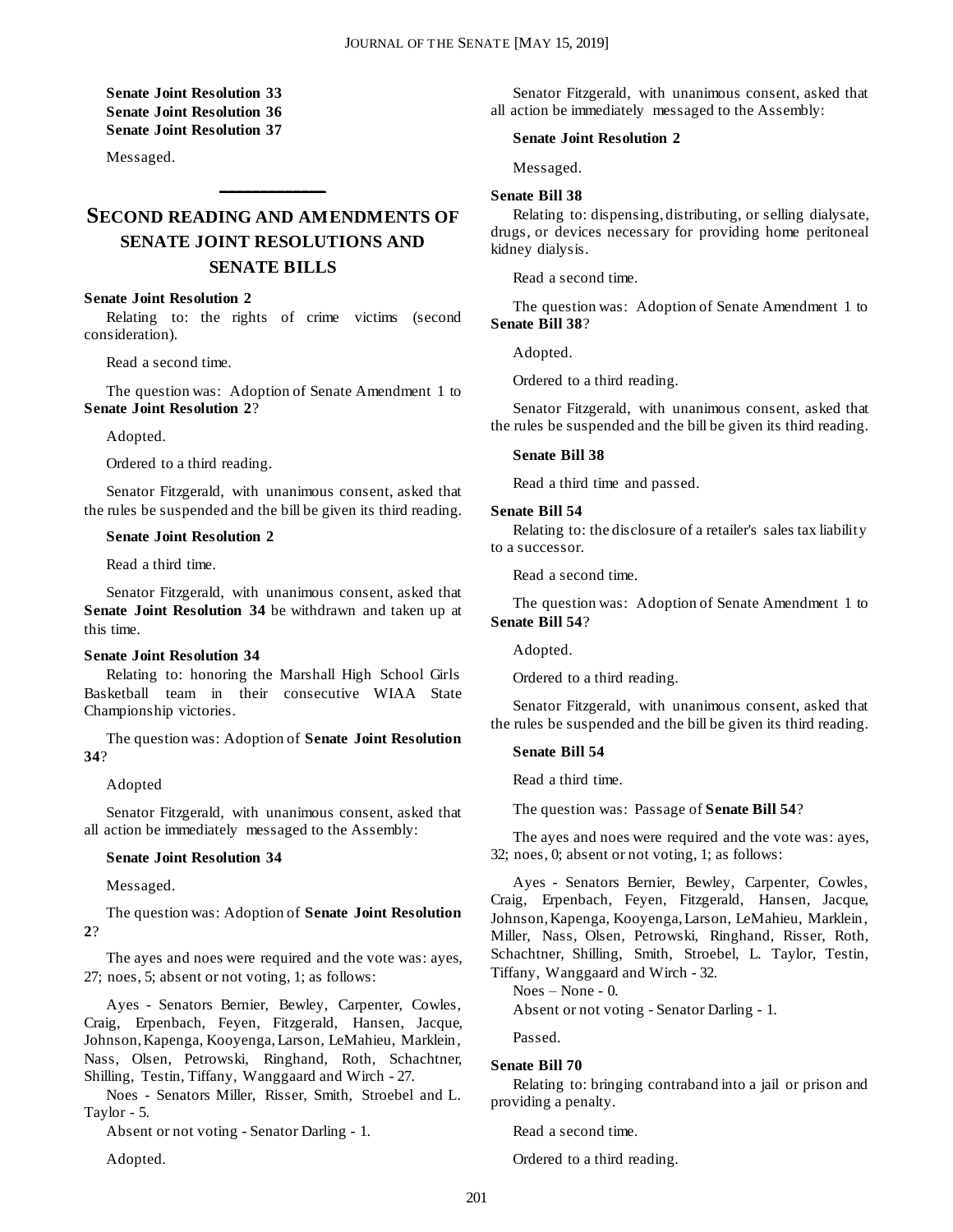**Senate Joint Resolution 33 Senate Joint Resolution 36 Senate Joint Resolution 37**

Messaged.

## **SECOND READING AND AMENDMENTS OF SENATE JOINT RESOLUTIONS AND SENATE BILLS**

**\_\_\_\_\_\_\_\_\_\_\_\_\_**

#### **Senate Joint Resolution 2**

Relating to: the rights of crime victims (second consideration).

Read a second time.

The question was: Adoption of Senate Amendment 1 to **Senate Joint Resolution 2**?

Adopted.

Ordered to a third reading.

Senator Fitzgerald, with unanimous consent, asked that the rules be suspended and the bill be given its third reading.

#### **Senate Joint Resolution 2**

Read a third time.

Senator Fitzgerald, with unanimous consent, asked that **Senate Joint Resolution 34** be withdrawn and taken up at this time.

#### **Senate Joint Resolution 34**

Relating to: honoring the Marshall High School Girls Basketball team in their consecutive WIAA State Championship victories.

The question was: Adoption of **Senate Joint Resolution 34**?

#### Adopted

Senator Fitzgerald, with unanimous consent, asked that all action be immediately messaged to the Assembly:

#### **Senate Joint Resolution 34**

Messaged.

The question was: Adoption of **Senate Joint Resolution 2**?

The ayes and noes were required and the vote was: ayes, 27; noes, 5; absent or not voting, 1; as follows:

Ayes - Senators Bernier, Bewley, Carpenter, Cowles, Craig, Erpenbach, Feyen, Fitzgerald, Hansen, Jacque, Johnson, Kapenga, Kooyenga, Larson, LeMahieu, Marklein, Nass, Olsen, Petrowski, Ringhand, Roth, Schachtner, Shilling, Testin, Tiffany, Wanggaard and Wirch - 27.

Noes - Senators Miller, Risser, Smith, Stroebel and L. Taylor - 5.

Absent or not voting - Senator Darling - 1.

Adopted.

Senator Fitzgerald, with unanimous consent, asked that all action be immediately messaged to the Assembly:

#### **Senate Joint Resolution 2**

Messaged.

#### **Senate Bill 38**

Relating to: dispensing, distributing, or selling dialysate, drugs, or devices necessary for providing home peritoneal kidney dialysis.

Read a second time.

The question was: Adoption of Senate Amendment 1 to **Senate Bill 38**?

Adopted.

Ordered to a third reading.

Senator Fitzgerald, with unanimous consent, asked that the rules be suspended and the bill be given its third reading.

#### **Senate Bill 38**

Read a third time and passed.

#### **Senate Bill 54**

Relating to: the disclosure of a retailer's sales tax liability to a successor.

Read a second time.

The question was: Adoption of Senate Amendment 1 to **Senate Bill 54**?

Adopted.

Ordered to a third reading.

Senator Fitzgerald, with unanimous consent, asked that the rules be suspended and the bill be given its third reading.

#### **Senate Bill 54**

Read a third time.

The question was: Passage of **Senate Bill 54**?

The ayes and noes were required and the vote was: ayes, 32; noes, 0; absent or not voting, 1; as follows:

Ayes - Senators Bernier, Bewley, Carpenter, Cowles, Craig, Erpenbach, Feyen, Fitzgerald, Hansen, Jacque, Johnson, Kapenga, Kooyenga, Larson, LeMahieu, Marklein, Miller, Nass, Olsen, Petrowski, Ringhand, Risser, Roth, Schachtner, Shilling, Smith, Stroebel, L. Taylor, Testin, Tiffany, Wanggaard and Wirch - 32.

Noes – None - 0.

Absent or not voting - Senator Darling - 1.

Passed.

#### **Senate Bill 70**

Relating to: bringing contraband into a jail or prison and providing a penalty.

Read a second time.

Ordered to a third reading.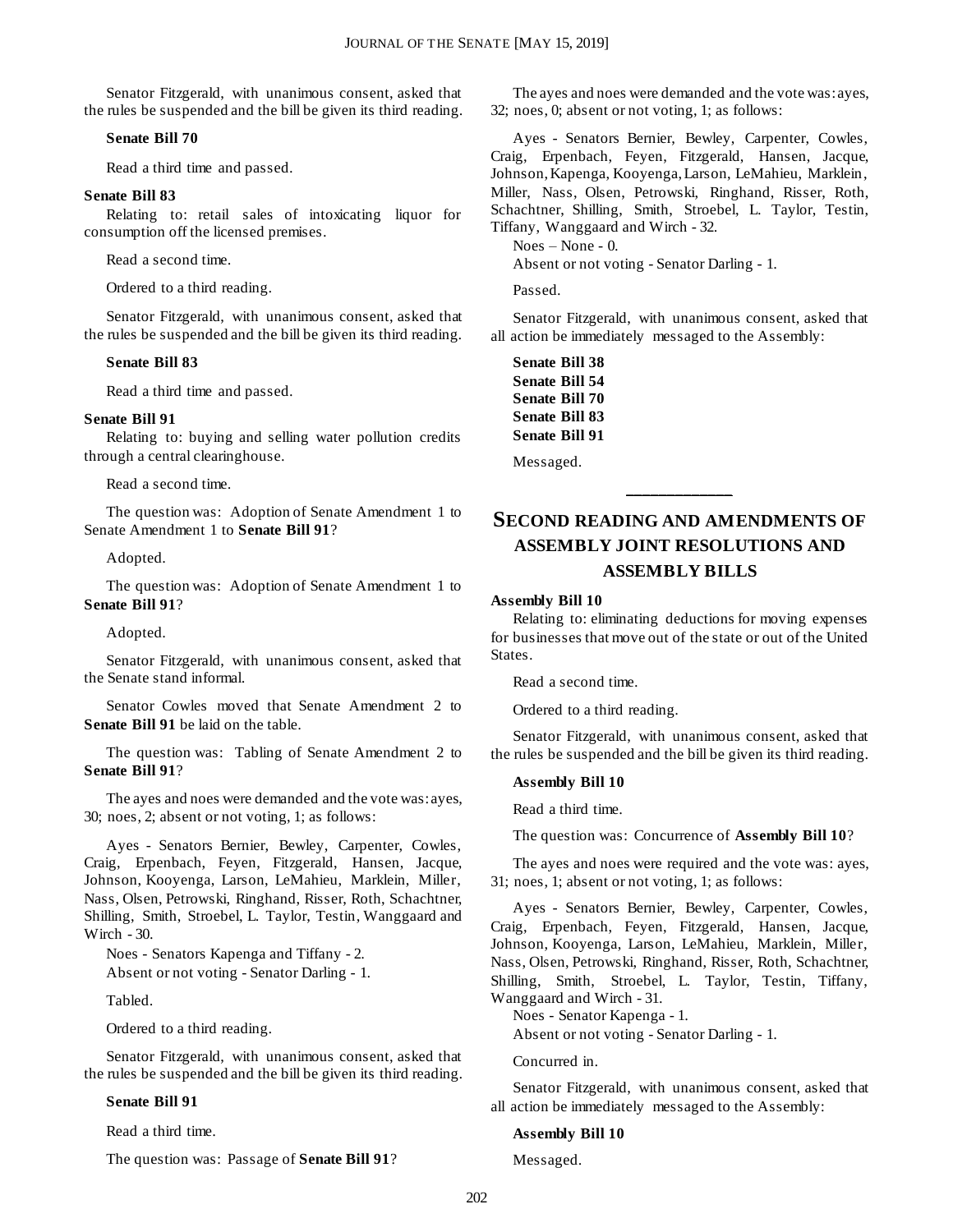Senator Fitzgerald, with unanimous consent, asked that the rules be suspended and the bill be given its third reading.

#### **Senate Bill 70**

Read a third time and passed.

#### **Senate Bill 83**

Relating to: retail sales of intoxicating liquor for consumption off the licensed premises.

Read a second time.

Ordered to a third reading.

Senator Fitzgerald, with unanimous consent, asked that the rules be suspended and the bill be given its third reading.

#### **Senate Bill 83**

Read a third time and passed.

#### **Senate Bill 91**

Relating to: buying and selling water pollution credits through a central clearinghouse.

Read a second time.

The question was: Adoption of Senate Amendment 1 to Senate Amendment 1 to **Senate Bill 91**?

#### Adopted.

The question was: Adoption of Senate Amendment 1 to **Senate Bill 91**?

#### Adopted.

Senator Fitzgerald, with unanimous consent, asked that the Senate stand informal.

Senator Cowles moved that Senate Amendment 2 to **Senate Bill 91** be laid on the table.

The question was: Tabling of Senate Amendment 2 to **Senate Bill 91**?

The ayes and noes were demanded and the vote was: ayes, 30; noes, 2; absent or not voting, 1; as follows:

Ayes - Senators Bernier, Bewley, Carpenter, Cowles, Craig, Erpenbach, Feyen, Fitzgerald, Hansen, Jacque, Johnson, Kooyenga, Larson, LeMahieu, Marklein, Miller, Nass, Olsen, Petrowski, Ringhand, Risser, Roth, Schachtner, Shilling, Smith, Stroebel, L. Taylor, Testin, Wanggaard and Wirch - 30.

Noes - Senators Kapenga and Tiffany - 2. Absent or not voting - Senator Darling - 1.

Tabled.

Ordered to a third reading.

Senator Fitzgerald, with unanimous consent, asked that the rules be suspended and the bill be given its third reading.

#### **Senate Bill 91**

Read a third time.

The question was: Passage of **Senate Bill 91**?

The ayes and noes were demanded and the vote was: ayes, 32; noes, 0; absent or not voting, 1; as follows:

Ayes - Senators Bernier, Bewley, Carpenter, Cowles, Craig, Erpenbach, Feyen, Fitzgerald, Hansen, Jacque, Johnson, Kapenga, Kooyenga, Larson, LeMahieu, Marklein, Miller, Nass, Olsen, Petrowski, Ringhand, Risser, Roth, Schachtner, Shilling, Smith, Stroebel, L. Taylor, Testin, Tiffany, Wanggaard and Wirch - 32.

Noes – None - 0. Absent or not voting - Senator Darling - 1.

Passed.

Senator Fitzgerald, with unanimous consent, asked that all action be immediately messaged to the Assembly:

**Senate Bill 38 Senate Bill 54 Senate Bill 70 Senate Bill 83 Senate Bill 91**

Messaged.

## **SECOND READING AND AMENDMENTS OF ASSEMBLY JOINT RESOLUTIONS AND ASSEMBLY BILLS**

**\_\_\_\_\_\_\_\_\_\_\_\_\_**

#### **Assembly Bill 10**

Relating to: eliminating deductions for moving expenses for businesses that move out of the state or out of the United States.

Read a second time.

Ordered to a third reading.

Senator Fitzgerald, with unanimous consent, asked that the rules be suspended and the bill be given its third reading.

#### **Assembly Bill 10**

Read a third time.

The question was: Concurrence of **Assembly Bill 10**?

The ayes and noes were required and the vote was: ayes, 31; noes, 1; absent or not voting, 1; as follows:

Ayes - Senators Bernier, Bewley, Carpenter, Cowles, Craig, Erpenbach, Feyen, Fitzgerald, Hansen, Jacque, Johnson, Kooyenga, Larson, LeMahieu, Marklein, Miller, Nass, Olsen, Petrowski, Ringhand, Risser, Roth, Schachtner, Shilling, Smith, Stroebel, L. Taylor, Testin, Tiffany, Wanggaard and Wirch - 31.

Noes - Senator Kapenga - 1.

Absent or not voting - Senator Darling - 1.

Concurred in.

Senator Fitzgerald, with unanimous consent, asked that all action be immediately messaged to the Assembly:

#### **Assembly Bill 10**

Messaged.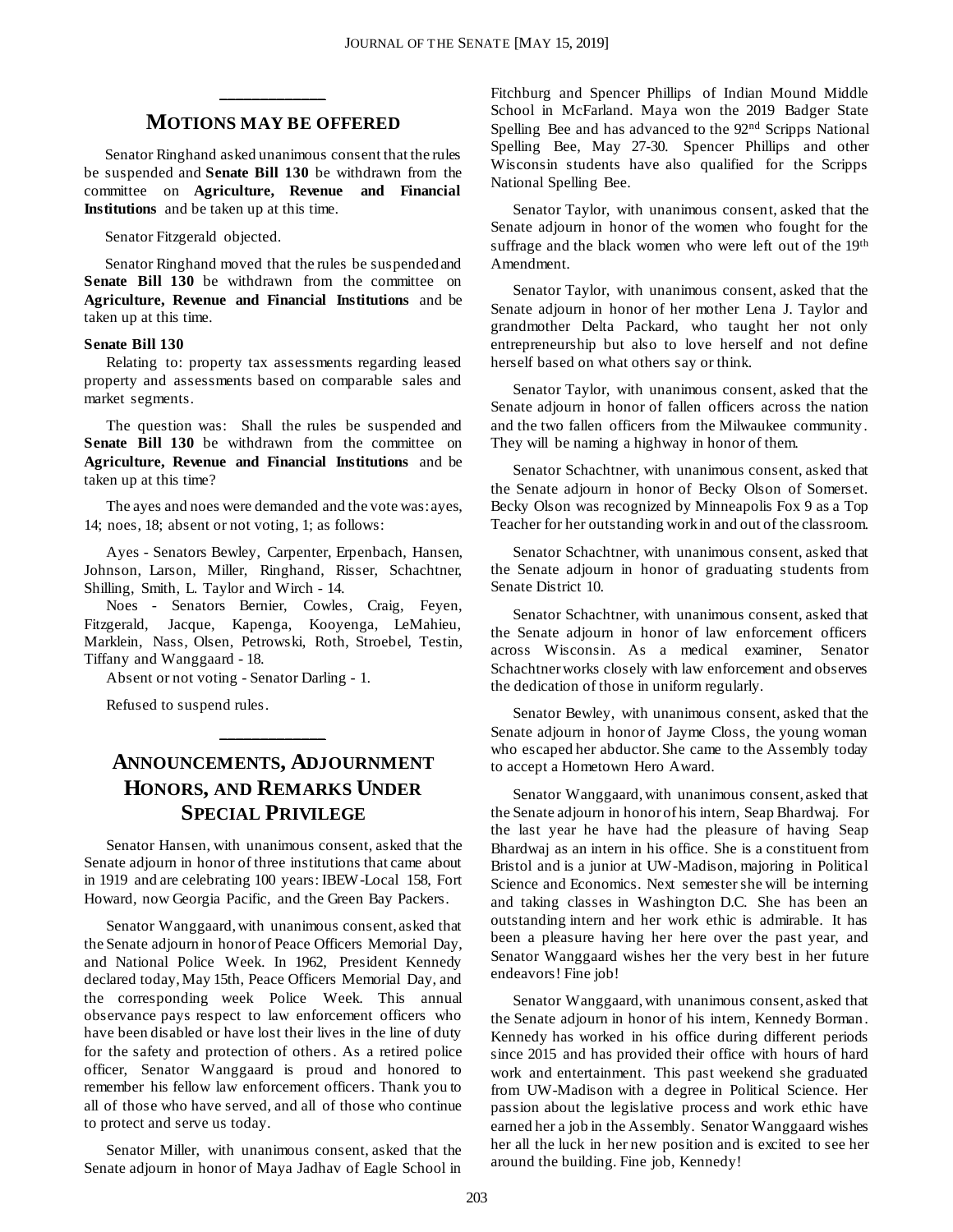## **\_\_\_\_\_\_\_\_\_\_\_\_\_ MOTIONS MAY BE OFFERED**

Senator Ringhand asked unanimous consent that the rules be suspended and **Senate Bill 130** be withdrawn from the committee on **Agriculture, Revenue and Financial Institutions** and be taken up at this time.

Senator Fitzgerald objected.

Senator Ringhand moved that the rules be suspended and Senate Bill 130 be withdrawn from the committee on **Agriculture, Revenue and Financial Institutions** and be taken up at this time.

#### **Senate Bill 130**

Relating to: property tax assessments regarding leased property and assessments based on comparable sales and market segments.

The question was: Shall the rules be suspended and **Senate Bill 130** be withdrawn from the committee on **Agriculture, Revenue and Financial Institutions** and be taken up at this time?

The ayes and noes were demanded and the vote was: ayes, 14; noes, 18; absent or not voting, 1; as follows:

Ayes - Senators Bewley, Carpenter, Erpenbach, Hansen, Johnson, Larson, Miller, Ringhand, Risser, Schachtner, Shilling, Smith, L. Taylor and Wirch - 14.

Noes - Senators Bernier, Cowles, Craig, Feyen, Fitzgerald, Jacque, Kapenga, Kooyenga, LeMahieu, Marklein, Nass, Olsen, Petrowski, Roth, Stroebel, Testin, Tiffany and Wanggaard - 18.

Absent or not voting - Senator Darling - 1.

Refused to suspend rules.

## **ANNOUNCEMENTS, ADJOURNMENT HONORS, AND REMARKS UNDER SPECIAL PRIVILEGE**

**\_\_\_\_\_\_\_\_\_\_\_\_\_**

Senator Hansen, with unanimous consent, asked that the Senate adjourn in honor of three institutions that came about in 1919 and are celebrating 100 years: IBEW-Local 158, Fort Howard, now Georgia Pacific, and the Green Bay Packers.

Senator Wanggaard, with unanimous consent, asked that the Senate adjourn in honor of Peace Officers Memorial Day, and National Police Week. In 1962, President Kennedy declared today, May 15th, Peace Officers Memorial Day, and the corresponding week Police Week. This annual observance pays respect to law enforcement officers who have been disabled or have lost their lives in the line of duty for the safety and protection of others. As a retired police officer, Senator Wanggaard is proud and honored to remember his fellow law enforcement officers. Thank you to all of those who have served, and all of those who continue to protect and serve us today.

Senator Miller, with unanimous consent, asked that the Senate adjourn in honor of Maya Jadhav of Eagle School in Fitchburg and Spencer Phillips of Indian Mound Middle School in McFarland. Maya won the 2019 Badger State Spelling Bee and has advanced to the 92nd Scripps National Spelling Bee, May 27-30. Spencer Phillips and other Wisconsin students have also qualified for the Scripps National Spelling Bee.

Senator Taylor, with unanimous consent, asked that the Senate adjourn in honor of the women who fought for the suffrage and the black women who were left out of the 19<sup>th</sup> Amendment.

Senator Taylor, with unanimous consent, asked that the Senate adjourn in honor of her mother Lena J. Taylor and grandmother Delta Packard, who taught her not only entrepreneurship but also to love herself and not define herself based on what others say or think.

Senator Taylor, with unanimous consent, asked that the Senate adjourn in honor of fallen officers across the nation and the two fallen officers from the Milwaukee community. They will be naming a highway in honor of them.

Senator Schachtner, with unanimous consent, asked that the Senate adjourn in honor of Becky Olson of Somerset. Becky Olson was recognized by Minneapolis Fox 9 as a Top Teacher for her outstanding work in and out of the classroom.

Senator Schachtner, with unanimous consent, asked that the Senate adjourn in honor of graduating students from Senate District 10.

Senator Schachtner, with unanimous consent, asked that the Senate adjourn in honor of law enforcement officers across Wisconsin. As a medical examiner, Senator Schachtner works closely with law enforcement and observes the dedication of those in uniform regularly.

Senator Bewley, with unanimous consent, asked that the Senate adjourn in honor of Jayme Closs, the young woman who escaped her abductor. She came to the Assembly today to accept a Hometown Hero Award.

Senator Wanggaard, with unanimous consent, asked that the Senate adjourn in honor of his intern, Seap Bhardwaj. For the last year he have had the pleasure of having Seap Bhardwaj as an intern in his office. She is a constituent from Bristol and is a junior at UW-Madison, majoring in Political Science and Economics. Next semester she will be interning and taking classes in Washington D.C. She has been an outstanding intern and her work ethic is admirable. It has been a pleasure having her here over the past year, and Senator Wanggaard wishes her the very best in her future endeavors! Fine job!

Senator Wanggaard, with unanimous consent, asked that the Senate adjourn in honor of his intern, Kennedy Borman. Kennedy has worked in his office during different periods since 2015 and has provided their office with hours of hard work and entertainment. This past weekend she graduated from UW-Madison with a degree in Political Science. Her passion about the legislative process and work ethic have earned her a job in the Assembly. Senator Wanggaard wishes her all the luck in her new position and is excited to see her around the building. Fine job, Kennedy!